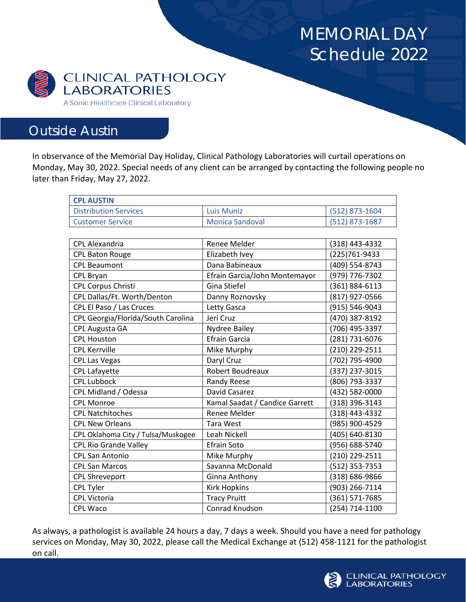## MEMORIAL DAY Schedule 2022



## Outside Austin

In observance of the Memorial Day Holiday, Clinical Pathology Laboratories will curtail operations on Monday, May 30, 2022. Special needs of any client can be arranged by contacting the following people no later than Friday, May 27, 2022.

| <b>CPL AUSTIN</b>                  |                                |                |
|------------------------------------|--------------------------------|----------------|
| <b>Distribution Services</b>       | <b>Luis Muniz</b>              | (512) 873-1604 |
| <b>Customer Service</b>            | <b>Monica Sandoval</b>         | (512) 873-1687 |
|                                    |                                |                |
| CPL Alexandria                     | Renee Melder                   | (318) 443-4332 |
| <b>CPL Baton Rouge</b>             | Elizabeth Ivey                 | (225)761-9433  |
| <b>CPL Beaumont</b>                | Dana Babineaux                 | (409) 554-8743 |
| <b>CPL Bryan</b>                   | Efrain Garcia/John Montemayor  | (979) 776-7302 |
| <b>CPL Corpus Christi</b>          | Gina Stiefel                   | (361) 884-6113 |
| CPL Dallas/Ft. Worth/Denton        | Danny Roznovsky                | (817) 927-0566 |
| CPL El Paso / Las Cruces           | Letty Gasca                    | (915) 546-9043 |
| CPL Georgia/Florida/South Carolina | Jeri Cruz                      | (470) 387-8192 |
| CPL Augusta GA                     | Nydree Bailey                  | (706) 495-3397 |
| <b>CPL Houston</b>                 | <b>Efrain Garcia</b>           | (281) 731-6076 |
| <b>CPL Kerrville</b>               | Mike Murphy                    | (210) 229-2511 |
| <b>CPL Las Vegas</b>               | Daryl Cruz                     | (702) 795-4900 |
| <b>CPL Lafayette</b>               | Robert Boudreaux               | (337) 237-3015 |
| <b>CPL Lubbock</b>                 | Randy Reese                    | (806) 793-3337 |
| CPL Midland / Odessa               | David Casarez                  | (432) 582-0000 |
| <b>CPL Monroe</b>                  | Kamal Saadat / Candice Garrett | (318) 396-3143 |
| <b>CPL Natchitoches</b>            | Renee Melder                   | (318) 443-4332 |
| <b>CPL New Orleans</b>             | <b>Tara West</b>               | (985) 900-4529 |
| CPL Oklahoma City / Tulsa/Muskogee | Leah Nickell                   | (405) 640-8130 |
| <b>CPL Rio Grande Valley</b>       | <b>Efrain Soto</b>             | (956) 688-5740 |
| <b>CPL San Antonio</b>             | Mike Murphy                    | (210) 229-2511 |
| <b>CPL San Marcos</b>              | Savanna McDonald               | (512) 353-7353 |
| <b>CPL Shreveport</b>              | Ginna Anthony                  | (318) 686-9866 |
| <b>CPL Tyler</b>                   | <b>Kirk Hopkins</b>            | (903) 266-7114 |
| <b>CPL Victoria</b>                | <b>Tracy Pruitt</b>            | (361) 571-7685 |
| <b>CPL Waco</b>                    | Conrad Knudson                 | (254) 714-1100 |

As always, a pathologist is available 24 hours a day, 7 days a week. Should you have a need for pathology services on Monday, May 30, 2022, please call the Medical Exchange at (512) 458-1121 for the pathologist on call.